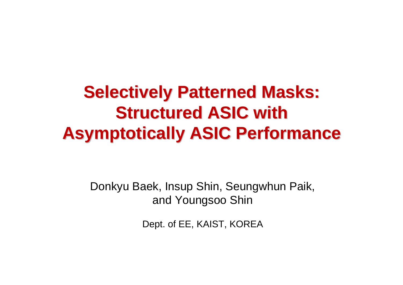### **Selectively Patterned Masks: Structured ASIC with Asymptotically ASIC Performance Asymptotically ASIC Performance**

Donkyu Baek, Insup Shin, Seungwhun Paik, and Youngsoo Shin

Dept. of EE, KAIST, KOREA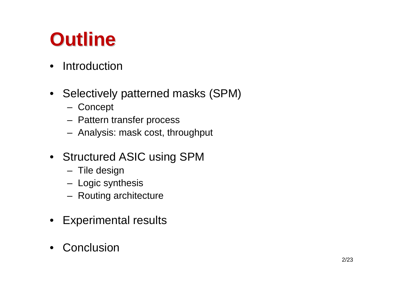### **Outline Outline**

- $\bullet$ **Introduction**
- Selectively patterned masks (SPM)
	- **Concept**
	- Pattern transfer process
	- Analysis: mask cost, throughput
- Structured ASIC using SPM
	- Tile design
	- Logic synthesis
	- Routing architecture
- $\bullet$ Experimental results
- •**Conclusion**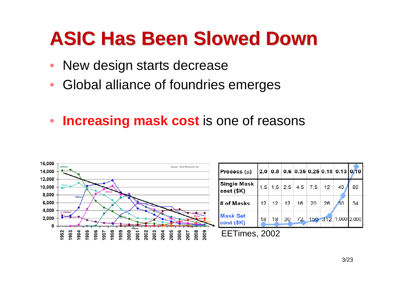### **ASIC Has Been Slowed Down ASIC Has Been Slowed Down**

- •New design starts decrease
- $\bullet$ Global alliance of foundries emerges
- **Increasing mask cost** is one of reasons



 $12$ 

26

40

30

60

34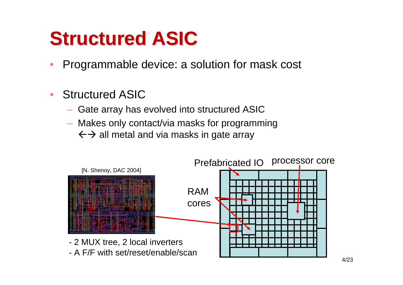### **Structured ASIC**

- $\bullet$ Programmable device: a solution for mask cost
- • Structured ASIC
	- Gate array has evolved into structured ASIC
	- Makes only contact/via masks for programming  $\leftarrow$   $\rightarrow$  all metal and via masks in gate array

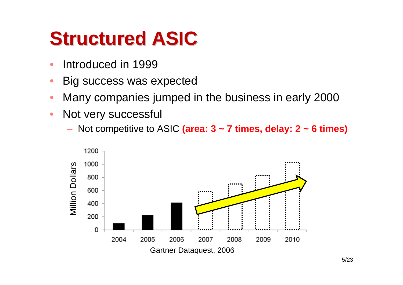### **Structured ASIC**

- •Introduced in 1999
- •Big success was expected
- •Many companies jumped in the business in early 2000
- $\bullet$  Not very successful
	- Not competitive to ASIC **(area: 3 ~ 7 times, delay: 2 ~ 6 times)**

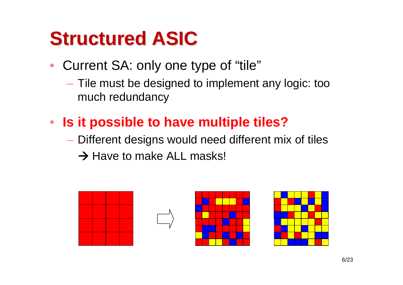### **Structured ASIC**

- Current SA: only one type of "tile"
	- Tile must be designed to implement any logic: too much redundancy
- **Is it possible to have multiple tiles?**
	- Different designs would need different mix of tiles
		- $\rightarrow$  Have to make ALL masks!

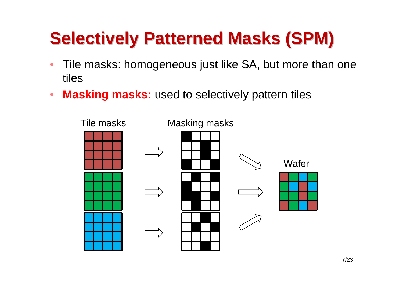### **Selectively Patterned Masks (SPM)**

- • Tile masks: homogeneous just like SA, but more than one tiles
- $\bullet$ **Masking masks:** used to selectively pattern tiles

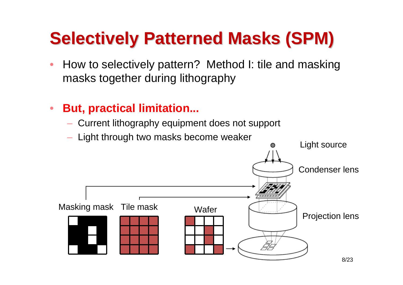### **Selectively Patterned Masks (SPM)**

- • How to selectively pattern? Method I: tile and masking masks together during lithography
- $\bullet$  **But, practical limitation...**
	- Current lithography equipment does not support
	-

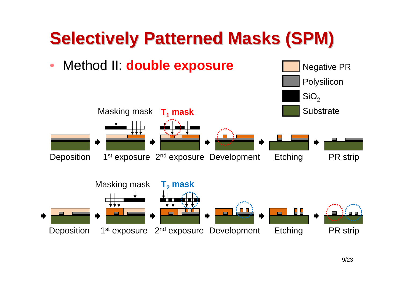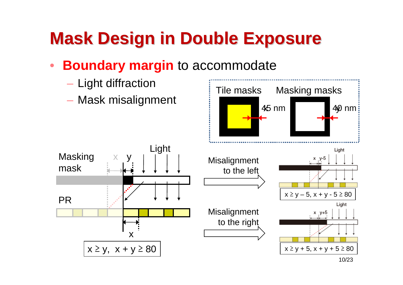### **Mask Design in Double Exposure Mask Design in Double Exposure**

#### $\bullet$ **Boundary margin** to accommodate

Light

- –— Light diffraction
- Mask misalignment

x y

Masking

mask

PR

x ≥ y, x + y ≥ 80

x

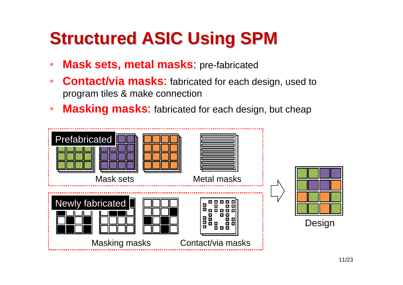### **Structured ASIC Using SPM Structured ASIC Using SPM**

- •**Mask sets, metal masks**: pre-fabricated
- $\bullet$  **Contact/via masks**: fabricated for each design, used to program tiles & make connection
- $\bullet$ **Masking masks**: fabricated for each design, but cheap

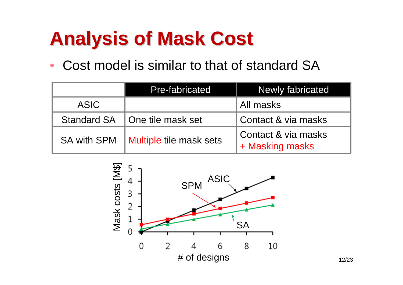# **Analysis of Mask Cost Analysis of Mask Cost**

•Cost model is similar to that of standard SA

|                    | Pre-fabricated          | <b>Newly fabricated</b>                |
|--------------------|-------------------------|----------------------------------------|
| ASIC               |                         | All masks                              |
| <b>Standard SA</b> | I One tile mask set     | Contact & via masks                    |
| <b>SA with SPM</b> | Multiple tile mask sets | Contact & via masks<br>+ Masking masks |

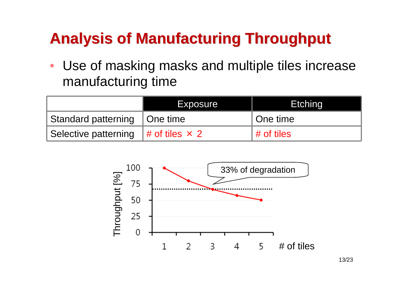### **Analysis of Manufacturing Throughput Analysis of Manufacturing Throughput**

 $\bullet$  Use of masking masks and multiple tiles increase manufacturing time

|                                              | Exposure | <b>Etching</b>         |
|----------------------------------------------|----------|------------------------|
| Standard patterning   One time               |          | l One time             |
| Selective patterning $#$ of tiles $\times$ 2 |          | $\parallel$ # of tiles |

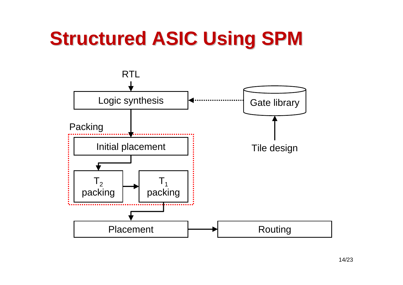# **Structured ASIC Using SPM**

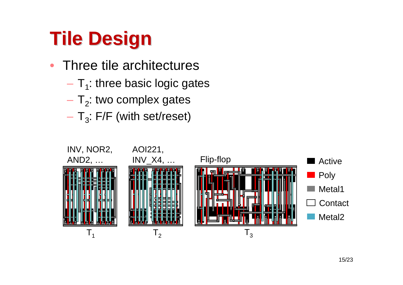# **Tile Design Tile Design**

- $\bullet$  Three tile architectures
	- – $-$  T<sub>1</sub>: three basic logic gates
	- – $-$  T<sub>2</sub>: two complex gates
	- – $-$  T<sub>3</sub>: F/F (with set/reset)

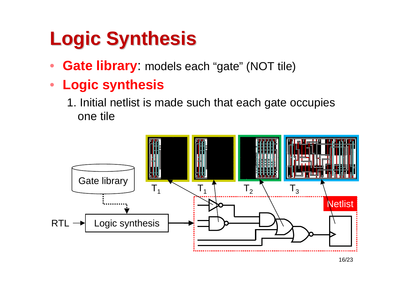# **Logic Synthesis Logic Synthesis**

- •**Gate library**: models each "gate" (NOT tile)
- $\bullet$  **Logic synthesis**
	- 1. Initial netlist is made such that each gate occupies one tile

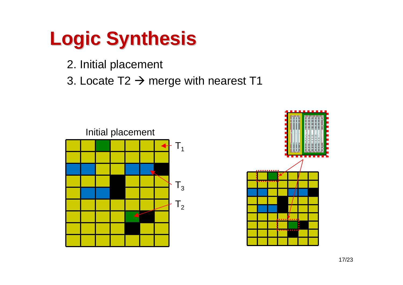# **Logic Synthesis Logic Synthesis**

- 2. Initial placement
- 3. Locate T2  $\rightarrow$  merge with nearest T1



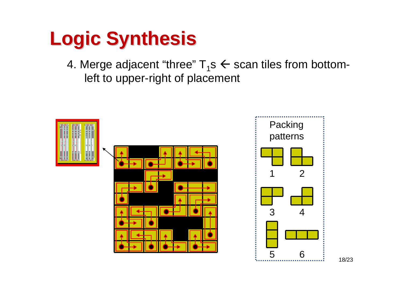# **Logic Synthesis Logic Synthesis**

4. Merge adjacent "three"  ${\sf T_1s}\leftarrow {\sf scan}$  tiles from bottomleft to upper-right of placement

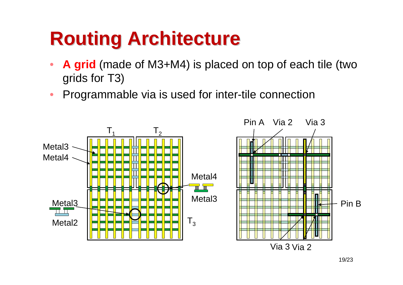# **Routing Architecture Routing Architecture**

- $\bullet$  **A grid** (made of M3+M4) is placed on top of each tile (two grids for T3)
- Programmable via is used for inter-tile connection

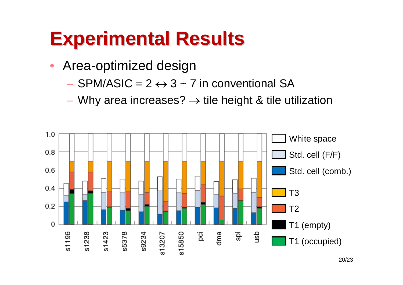# **Experimental Results Experimental Results**

- $\bullet$  Area-optimized design
	- $-$  SPM/ASIC = 2  $\leftrightarrow$  3 ~ 7 in conventional SA
	- –– Why area increases?  $\rightarrow$  tile height & tile utilization

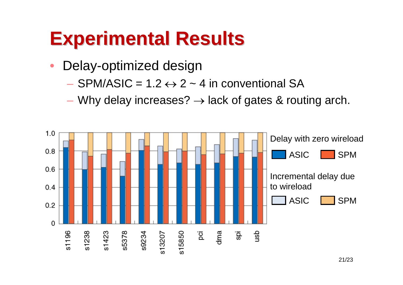# **Experimental Results Experimental Results**

- $\bullet$  Delay-optimized design
	- $-$  SPM/ASIC = 1.2  $\leftrightarrow$  2 ~ 4 in conventional SA
	- –– Why delay increases?  $\rightarrow$  lack of gates & routing arch.

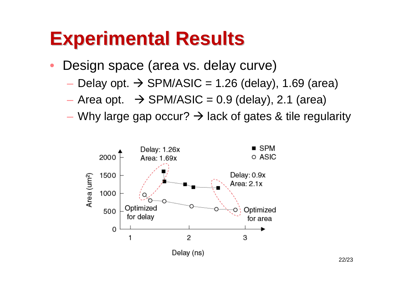### **Experimental Results Experimental Results**

- • Design space (area vs. delay curve)
	- – $-$  Delay opt.  $\rightarrow$  SPM/ASIC = 1.26 (delay), 1.69 (area)
	- – $-$  Area opt.  $\rightarrow$  SPM/ASIC = 0.9 (delay), 2.1 (area)
	- –– Why large gap occur?  $\rightarrow$  lack of gates & tile regularity